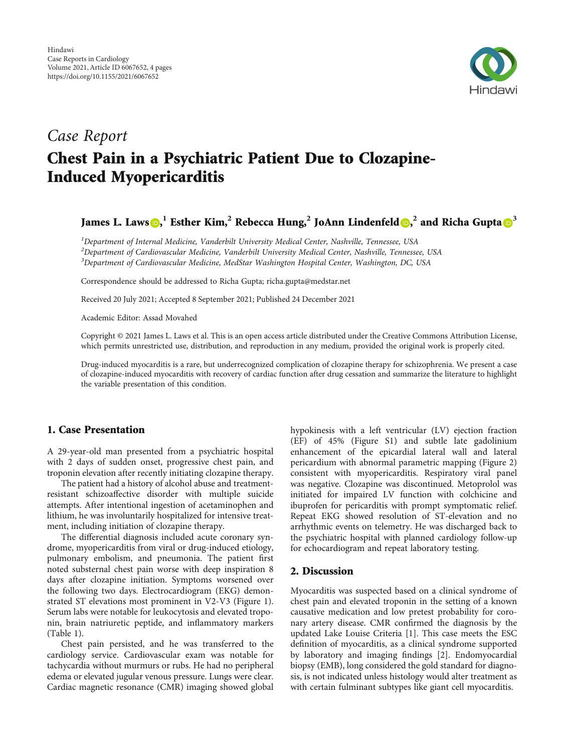

# Case Report Chest Pain in a Psychiatric Patient Due to Clozapine-Induced Myopericarditis

# James L. Laws  $\textbf{D,}^1$  Esther Kim, $^2$  Rebecca Hung, $^2$  JoAnn Lindenfeld  $\textbf{D,}^2$  and Richa Gupta  $\textbf{D}^3$

<sup>1</sup>Department of Internal Medicine, Vanderbilt University Medical Center, Nashville, Tennessee, USA  $^2$ Department of Cardiovascular Medicine, Vanderbilt University Medical Center, Nashville, Tennessee, USA <sup>3</sup>Department of Cardiovascular Medicine, MedStar Washington Hospital Center, Washington, DC, USA

Correspondence should be addressed to Richa Gupta; richa.gupta@medstar.net

Received 20 July 2021; Accepted 8 September 2021; Published 24 December 2021

Academic Editor: Assad Movahed

Copyright © 2021 James L. Laws et al. This is an open access article distributed under the [Creative Commons Attribution License](https://creativecommons.org/licenses/by/4.0/), which permits unrestricted use, distribution, and reproduction in any medium, provided the original work is properly cited.

Drug-induced myocarditis is a rare, but underrecognized complication of clozapine therapy for schizophrenia. We present a case of clozapine-induced myocarditis with recovery of cardiac function after drug cessation and summarize the literature to highlight the variable presentation of this condition.

# 1. Case Presentation

A 29-year-old man presented from a psychiatric hospital with 2 days of sudden onset, progressive chest pain, and troponin elevation after recently initiating clozapine therapy.

The patient had a history of alcohol abuse and treatmentresistant schizoaffective disorder with multiple suicide attempts. After intentional ingestion of acetaminophen and lithium, he was involuntarily hospitalized for intensive treatment, including initiation of clozapine therapy.

The differential diagnosis included acute coronary syndrome, myopericarditis from viral or drug-induced etiology, pulmonary embolism, and pneumonia. The patient first noted substernal chest pain worse with deep inspiration 8 days after clozapine initiation. Symptoms worsened over the following two days. Electrocardiogram (EKG) demonstrated ST elevations most prominent in V2-V3 (Figure [1](#page-1-0)). Serum labs were notable for leukocytosis and elevated troponin, brain natriuretic peptide, and inflammatory markers (Table [1](#page-1-0)).

Chest pain persisted, and he was transferred to the cardiology service. Cardiovascular exam was notable for tachycardia without murmurs or rubs. He had no peripheral edema or elevated jugular venous pressure. Lungs were clear. Cardiac magnetic resonance (CMR) imaging showed global

hypokinesis with a left ventricular (LV) ejection fraction (EF) of 45% (Figure [S1](#page-3-0)) and subtle late gadolinium enhancement of the epicardial lateral wall and lateral pericardium with abnormal parametric mapping (Figure [2\)](#page-2-0) consistent with myopericarditis. Respiratory viral panel was negative. Clozapine was discontinued. Metoprolol was initiated for impaired LV function with colchicine and ibuprofen for pericarditis with prompt symptomatic relief. Repeat EKG showed resolution of ST-elevation and no arrhythmic events on telemetry. He was discharged back to the psychiatric hospital with planned cardiology follow-up for echocardiogram and repeat laboratory testing.

#### 2. Discussion

Myocarditis was suspected based on a clinical syndrome of chest pain and elevated troponin in the setting of a known causative medication and low pretest probability for coronary artery disease. CMR confirmed the diagnosis by the updated Lake Louise Criteria [[1\]](#page-3-0). This case meets the ESC definition of myocarditis, as a clinical syndrome supported by laboratory and imaging findings [[2](#page-3-0)]. Endomyocardial biopsy (EMB), long considered the gold standard for diagnosis, is not indicated unless histology would alter treatment as with certain fulminant subtypes like giant cell myocarditis.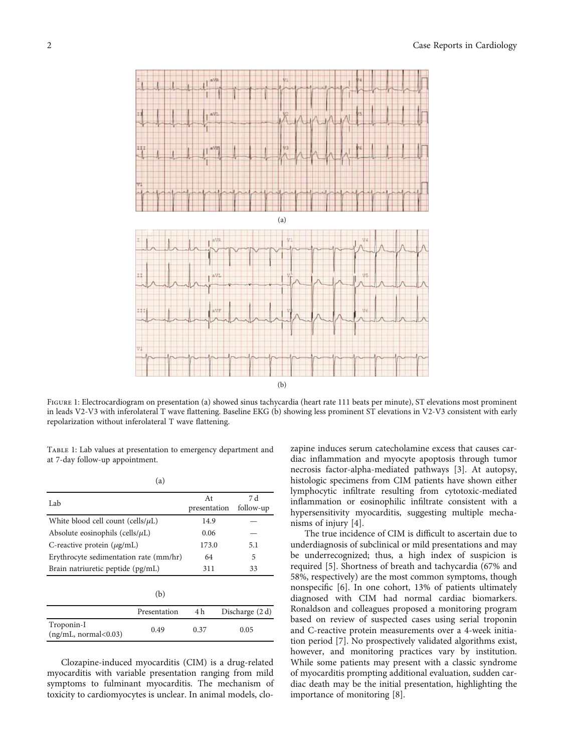<span id="page-1-0"></span>

FIGURE 1: Electrocardiogram on presentation (a) showed sinus tachycardia (heart rate 111 beats per minute), ST elevations most prominent in leads V2-V3 with inferolateral T wave flattening. Baseline EKG (b) showing less prominent ST elevations in V2-V3 consistent with early repolarization without inferolateral T wave flattening.

TABLE 1: Lab values at presentation to emergency department and at 7-day follow-up appointment.

| × | . .<br>۰,<br>۰, |  |
|---|-----------------|--|

| Lab                                     | At           | 7 d             |
|-----------------------------------------|--------------|-----------------|
|                                         | presentation | follow-up       |
| White blood cell count (cells/ $\mu$ L) | 14.9         |                 |
| Absolute eosinophils (cells/ $\mu$ L)   | 0.06         |                 |
| C-reactive protein $(\mu g/mL)$         | 173.0        | 5.1             |
| Erythrocyte sedimentation rate (mm/hr)  | 64           | 5               |
| Brain natriuretic peptide (pg/mL)       | 311          | 33              |
|                                         |              |                 |
| (b)                                     |              |                 |
| Presentation                            | 4 h          | Discharge (2 d) |
|                                         |              |                 |

Troponin-I (ng/mL, normal<0.03) 0.49 0.37 0.05

Clozapine-induced myocarditis (CIM) is a drug-related myocarditis with variable presentation ranging from mild symptoms to fulminant myocarditis. The mechanism of toxicity to cardiomyocytes is unclear. In animal models, clozapine induces serum catecholamine excess that causes cardiac inflammation and myocyte apoptosis through tumor necrosis factor-alpha-mediated pathways [\[3](#page-3-0)]. At autopsy, histologic specimens from CIM patients have shown either lymphocytic infiltrate resulting from cytotoxic-mediated inflammation or eosinophilic infiltrate consistent with a hypersensitivity myocarditis, suggesting multiple mechanisms of injury [[4\]](#page-3-0).

The true incidence of CIM is difficult to ascertain due to underdiagnosis of subclinical or mild presentations and may be underrecognized; thus, a high index of suspicion is required [\[5](#page-3-0)]. Shortness of breath and tachycardia (67% and 58%, respectively) are the most common symptoms, though nonspecific [[6\]](#page-3-0). In one cohort, 13% of patients ultimately diagnosed with CIM had normal cardiac biomarkers. Ronaldson and colleagues proposed a monitoring program based on review of suspected cases using serial troponin and C-reactive protein measurements over a 4-week initiation period [\[7](#page-3-0)]. No prospectively validated algorithms exist, however, and monitoring practices vary by institution. While some patients may present with a classic syndrome of myocarditis prompting additional evaluation, sudden cardiac death may be the initial presentation, highlighting the importance of monitoring [[8](#page-3-0)].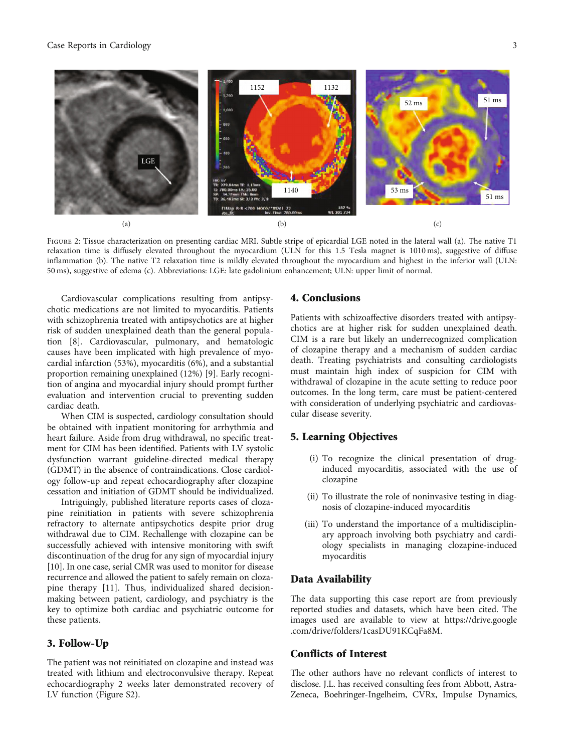<span id="page-2-0"></span>

Figure 2: Tissue characterization on presenting cardiac MRI. Subtle stripe of epicardial LGE noted in the lateral wall (a). The native T1 relaxation time is diffusely elevated throughout the myocardium (ULN for this 1.5 Tesla magnet is 1010 ms), suggestive of diffuse inflammation (b). The native T2 relaxation time is mildly elevated throughout the myocardium and highest in the inferior wall (ULN: 50 ms), suggestive of edema (c). Abbreviations: LGE: late gadolinium enhancement; ULN: upper limit of normal.

Cardiovascular complications resulting from antipsychotic medications are not limited to myocarditis. Patients with schizophrenia treated with antipsychotics are at higher risk of sudden unexplained death than the general population [\[8](#page-3-0)]. Cardiovascular, pulmonary, and hematologic causes have been implicated with high prevalence of myocardial infarction (53%), myocarditis (6%), and a substantial proportion remaining unexplained (12%) [\[9](#page-3-0)]. Early recognition of angina and myocardial injury should prompt further evaluation and intervention crucial to preventing sudden cardiac death.

When CIM is suspected, cardiology consultation should be obtained with inpatient monitoring for arrhythmia and heart failure. Aside from drug withdrawal, no specific treatment for CIM has been identified. Patients with LV systolic dysfunction warrant guideline-directed medical therapy (GDMT) in the absence of contraindications. Close cardiology follow-up and repeat echocardiography after clozapine cessation and initiation of GDMT should be individualized.

Intriguingly, published literature reports cases of clozapine reinitiation in patients with severe schizophrenia refractory to alternate antipsychotics despite prior drug withdrawal due to CIM. Rechallenge with clozapine can be successfully achieved with intensive monitoring with swift discontinuation of the drug for any sign of myocardial injury [\[10](#page-3-0)]. In one case, serial CMR was used to monitor for disease recurrence and allowed the patient to safely remain on clozapine therapy [\[11\]](#page-3-0). Thus, individualized shared decisionmaking between patient, cardiology, and psychiatry is the key to optimize both cardiac and psychiatric outcome for these patients.

# 3. Follow-Up

The patient was not reinitiated on clozapine and instead was treated with lithium and electroconvulsive therapy. Repeat echocardiography 2 weeks later demonstrated recovery of LV function (Figure [S2](#page-3-0)).

### 4. Conclusions

Patients with schizoaffective disorders treated with antipsychotics are at higher risk for sudden unexplained death. CIM is a rare but likely an underrecognized complication of clozapine therapy and a mechanism of sudden cardiac death. Treating psychiatrists and consulting cardiologists must maintain high index of suspicion for CIM with withdrawal of clozapine in the acute setting to reduce poor outcomes. In the long term, care must be patient-centered with consideration of underlying psychiatric and cardiovascular disease severity.

## 5. Learning Objectives

- (i) To recognize the clinical presentation of druginduced myocarditis, associated with the use of clozapine
- (ii) To illustrate the role of noninvasive testing in diagnosis of clozapine-induced myocarditis
- (iii) To understand the importance of a multidisciplinary approach involving both psychiatry and cardiology specialists in managing clozapine-induced myocarditis

#### Data Availability

The data supporting this case report are from previously reported studies and datasets, which have been cited. The images used are available to view at [https://drive.google](https://drive.google.com/drive/folders/1casDU91KCqFa8M) [.com/drive/folders/1casDU91KCqFa8M](https://drive.google.com/drive/folders/1casDU91KCqFa8M).

## Conflicts of Interest

The other authors have no relevant conflicts of interest to disclose. J.L. has received consulting fees from Abbott, Astra-Zeneca, Boehringer-Ingelheim, CVRx, Impulse Dynamics,